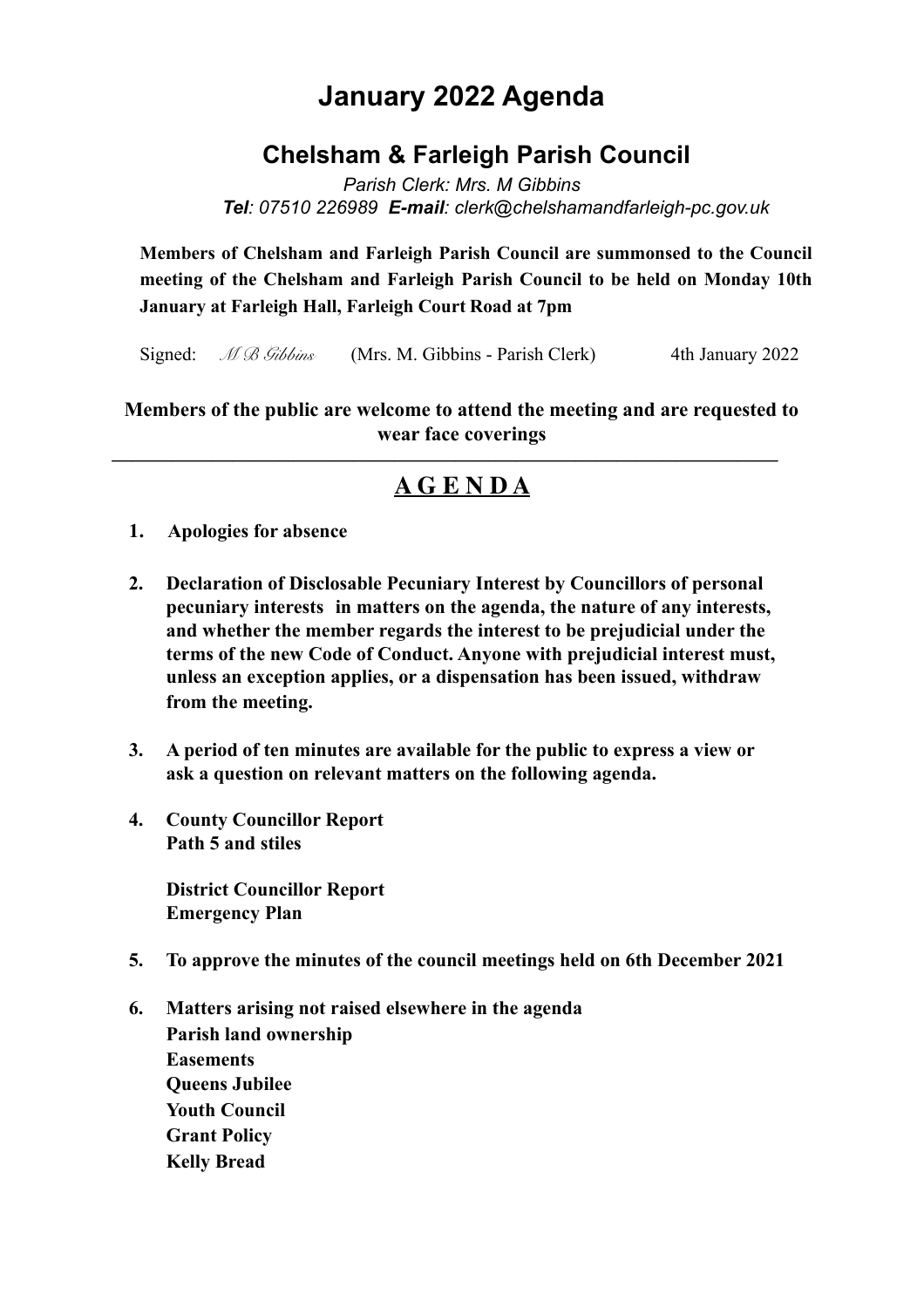# **January 2022 Agenda**

## **Chelsham & Farleigh Parish Council**

*Parish Clerk: Mrs. M Gibbins Tel: 07510 226989 E-mail: clerk@chelshamandfarleigh-pc.gov.uk* 

**Members of Chelsham and Farleigh Parish Council are summonsed to the Council meeting of the Chelsham and Farleigh Parish Council to be held on Monday 10th January at Farleigh Hall, Farleigh Court Road at 7pm**

Signed: *M B Gibbins* (Mrs. M. Gibbins - Parish Clerk) 4th January 2022

#### **Members of the public are welcome to attend the meeting and are requested to wear face coverings**

### **————————————————————————————————— A G E N D A**

- **1. Apologies for absence**
- **2. Declaration of Disclosable Pecuniary Interest by Councillors of personal pecuniary interests in matters on the agenda, the nature of any interests, and whether the member regards the interest to be prejudicial under the terms of the new Code of Conduct. Anyone with prejudicial interest must, unless an exception applies, or a dispensation has been issued, withdraw from the meeting.**
- **3. A period of ten minutes are available for the public to express a view or ask a question on relevant matters on the following agenda.**
- **4. County Councillor Report Path 5 and stiles**

 **District Councillor Report Emergency Plan** 

- **5. To approve the minutes of the council meetings held on 6th December 2021**
- **6. Matters arising not raised elsewhere in the agenda Parish land ownership Easements Queens Jubilee Youth Council Grant Policy Kelly Bread**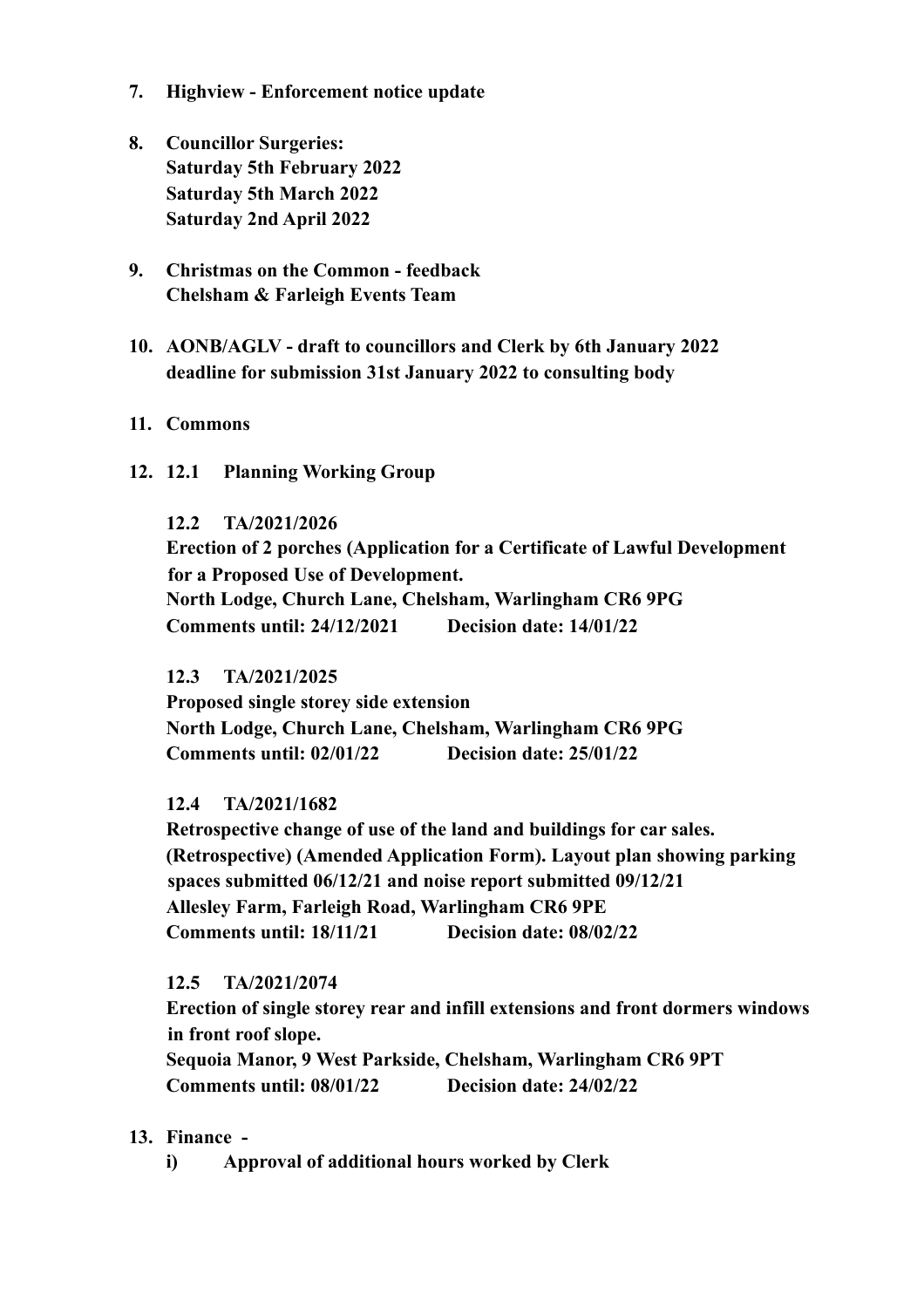- **7. Highview Enforcement notice update**
- **8. Councillor Surgeries: Saturday 5th February 2022 Saturday 5th March 2022 Saturday 2nd April 2022**
- **9. Christmas on the Common feedback Chelsham & Farleigh Events Team**
- **10. AONB/AGLV draft to councillors and Clerk by 6th January 2022 deadline for submission 31st January 2022 to consulting body**
- **11. Commons**
- **12. 12.1 Planning Working Group**

#### **12.2 TA/2021/2026**

 **Erection of 2 porches (Application for a Certificate of Lawful Development for a Proposed Use of Development. North Lodge, Church Lane, Chelsham, Warlingham CR6 9PG Comments until: 24/12/2021 Decision date: 14/01/22** 

#### **12.3 TA/2021/2025**

 **Proposed single storey side extension North Lodge, Church Lane, Chelsham, Warlingham CR6 9PG Comments until: 02/01/22 Decision date: 25/01/22** 

#### **12.4 TA/2021/1682**

 **Retrospective change of use of the land and buildings for car sales. (Retrospective) (Amended Application Form). Layout plan showing parking spaces submitted 06/12/21 and noise report submitted 09/12/21 Allesley Farm, Farleigh Road, Warlingham CR6 9PE Comments until: 18/11/21 Decision date: 08/02/22** 

#### **12.5 TA/2021/2074**

 **Erection of single storey rear and infill extensions and front dormers windows in front roof slope.** 

 **Sequoia Manor, 9 West Parkside, Chelsham, Warlingham CR6 9PT Comments until: 08/01/22 Decision date: 24/02/22** 

**13. Finance -** 

 **i) Approval of additional hours worked by Clerk**